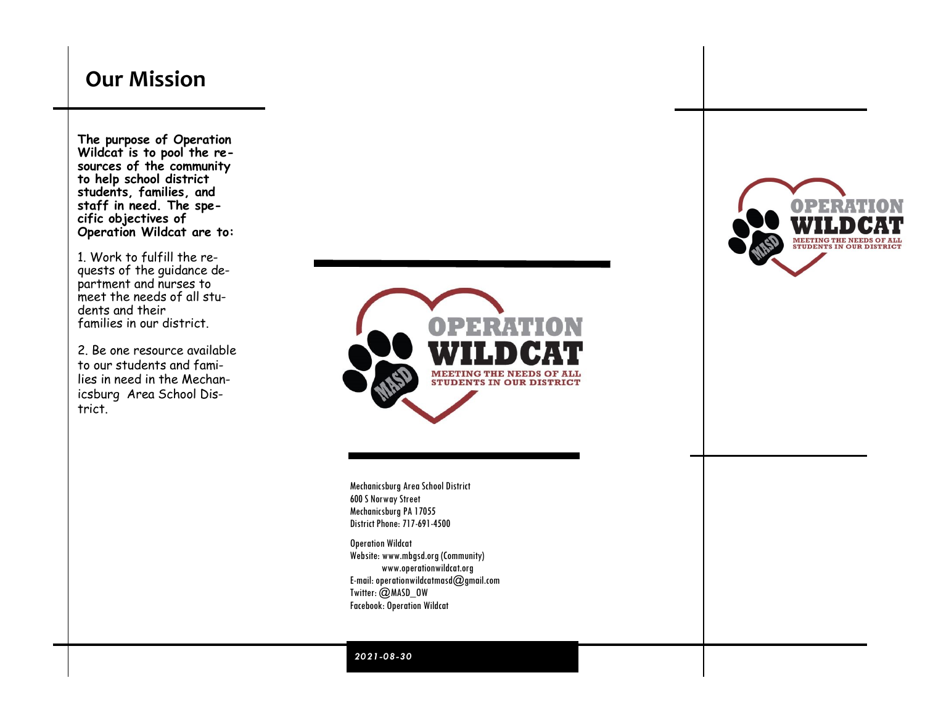# **Our Mission**

**The purpose of Operation Wildcat is to pool the resources of the community to help school district students, families, and staff in need. The specific objectives of Operation Wildcat are to:**

1. Work to fulfill the requests of the guidance department and nurses to meet the needs of all students and their families in our district.

2. Be one resource available to our students and families in need in the Mechanicsburg Area School District.

THE NEEDS OF ALI **STUDENTS IN OUR DISTRICT** 

Mechanicsburg Area School District 600 S Norway Street Mechanicsburg PA 17055 District Phone: 717-691-4500

Operation Wildcat Website: www.mbgsd.org (Community) www.operationwildcat.org E-mail: operationwildcatmasd@gmail.com Twitter: @MASD\_OW Facebook: Operation Wildcat



*2021-08-30*